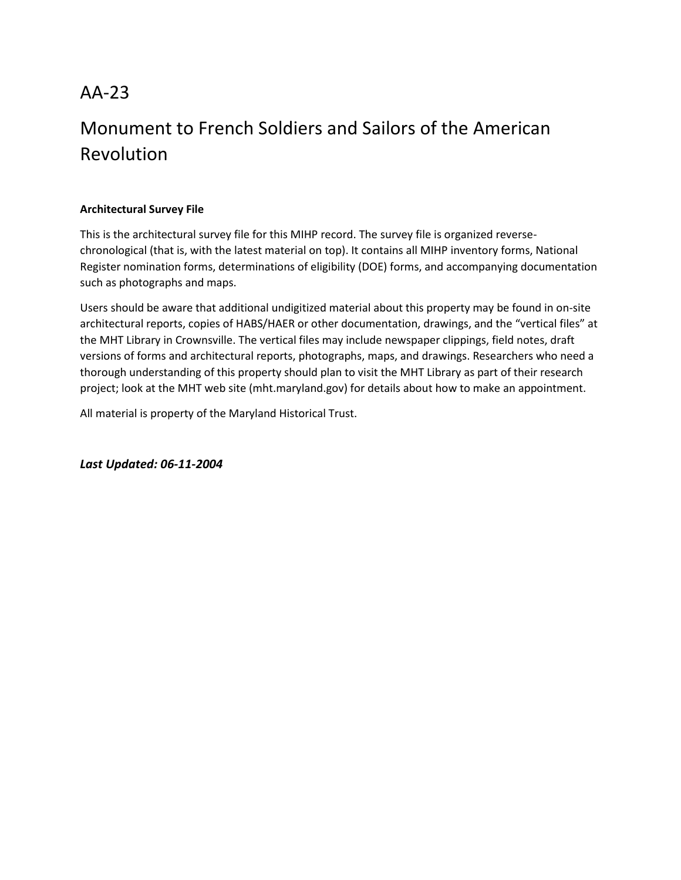## AA-23

# Monument to French Soldiers and Sailors of the American Revolution

#### **Architectural Survey File**

This is the architectural survey file for this MIHP record. The survey file is organized reversechronological (that is, with the latest material on top). It contains all MIHP inventory forms, National Register nomination forms, determinations of eligibility (DOE) forms, and accompanying documentation such as photographs and maps.

Users should be aware that additional undigitized material about this property may be found in on-site architectural reports, copies of HABS/HAER or other documentation, drawings, and the "vertical files" at the MHT Library in Crownsville. The vertical files may include newspaper clippings, field notes, draft versions of forms and architectural reports, photographs, maps, and drawings. Researchers who need a thorough understanding of this property should plan to visit the MHT Library as part of their research project; look at the MHT web site (mht.maryland.gov) for details about how to make an appointment.

All material is property of the Maryland Historical Trust.

*Last Updated: 06-11-2004*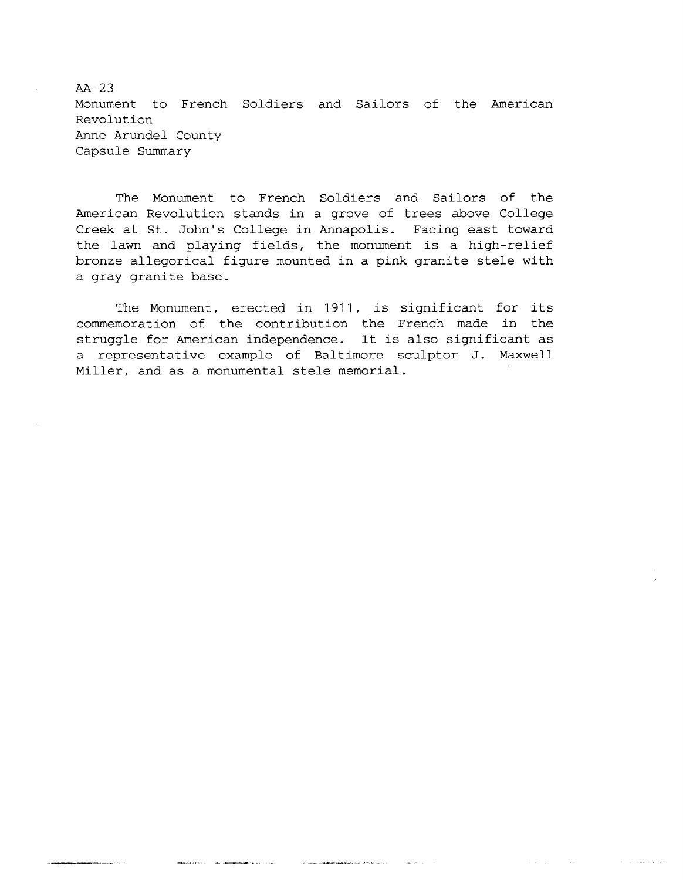AA-23 Monument to French Soldiers and Sailors of the American Revolution Anne Arundel County Capsule Summary

The Monument to French Soldiers and Sailors of the American Revolution stands in a grove of trees above College Creek at St. John's College in Annapolis. Facing east toward the lawn and playing fields, the monument is a high-relief bronze allegorical figure mounted in a pink granite stele with a gray granite base.

The Monument, erected in 1911, is significant for its commemoration of the contribution the French made in the struggle for American independence. It is also significant as a representative example of Baltimore sculptor J. Maxwell Miller, and as a monumental stele memorial.

 $\mathcal{L}_{\text{max}}$  . The components of the second contract  $\mathcal{L}_{\text{max}}$ 

 $\hat{f}$  and the same contribution contributions over  $\hat{f}$  and  $\hat{f}$  are the  $\hat{f}$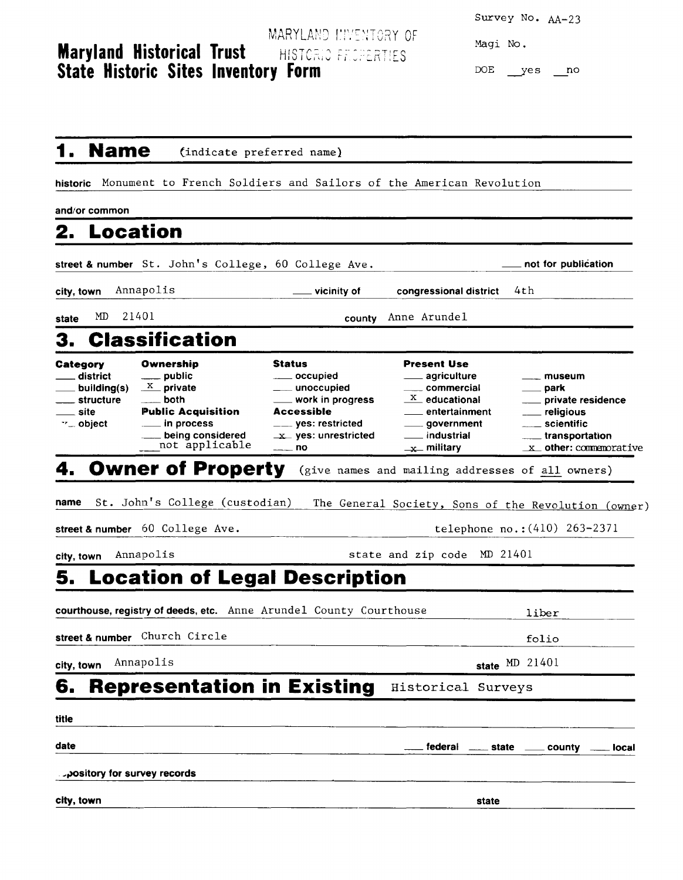MARYLAND INVENTORY OF

Survey No. AA-23

**Maryland Historical Trust Maryland Historical Trust And HISTORIO FIGUERTIES** 

**State Historic Sites Inventory Form**  $\frac{1}{2}$  **DOE**  $\frac{1}{2}$ **yes**  $\frac{1}{2}$ **no** 

| historic                                                                                                  | Monument to French Soldiers and Sailors of the American Revolution                                                                             |                                                                                                                                                              |                                                                                                                                                                                        |                                                                                                                                         |
|-----------------------------------------------------------------------------------------------------------|------------------------------------------------------------------------------------------------------------------------------------------------|--------------------------------------------------------------------------------------------------------------------------------------------------------------|----------------------------------------------------------------------------------------------------------------------------------------------------------------------------------------|-----------------------------------------------------------------------------------------------------------------------------------------|
| and/or common                                                                                             |                                                                                                                                                |                                                                                                                                                              |                                                                                                                                                                                        |                                                                                                                                         |
|                                                                                                           | <b>Location</b>                                                                                                                                |                                                                                                                                                              |                                                                                                                                                                                        |                                                                                                                                         |
|                                                                                                           | street & number St. John's College, 60 College Ave.                                                                                            |                                                                                                                                                              |                                                                                                                                                                                        | not for publication                                                                                                                     |
| city, town                                                                                                | Annapolis                                                                                                                                      | vicinity of                                                                                                                                                  | congressional district                                                                                                                                                                 | 4th                                                                                                                                     |
| MD<br>state                                                                                               | 21401                                                                                                                                          | county                                                                                                                                                       | Anne Arundel                                                                                                                                                                           |                                                                                                                                         |
|                                                                                                           | <b>Classification</b>                                                                                                                          |                                                                                                                                                              |                                                                                                                                                                                        |                                                                                                                                         |
| Category<br>$\_$ district<br>building(s)<br>structure<br>site<br>$T_{\perp}$ object                       | Ownership<br>$\frac{X}{X}$ private<br><u>__</u> __ both<br><b>Public Acquisition</b><br>___ in process<br>_ being considered<br>not applicable | <b>Status</b><br>___ unoccupied<br>___ work in progress<br><b>Accessible</b><br>____ yes: restricted<br>$x$ yes: unrestricted<br>$\overline{\phantom{0}}$ no | <b>Present Use</b><br>___ agriculture<br><sub>____</sub> commercial<br>$\mathbf{X}_\perp$ educational<br>entertainment<br>____ government<br><u>__</u> industrial<br>$\equiv$ military | __ museum<br>____ park<br>private residence<br>___ religious<br>____ scientific<br>____ transportation<br><u>x</u> other: commemorative |
|                                                                                                           | 4. Owner of Property                                                                                                                           |                                                                                                                                                              | (give names and mailing addresses of all owners)                                                                                                                                       |                                                                                                                                         |
|                                                                                                           | St. John's College (custodian)                                                                                                                 |                                                                                                                                                              | The General Society, Sons of the Revolution (owner)                                                                                                                                    |                                                                                                                                         |
|                                                                                                           | street & number 60 College Ave.                                                                                                                |                                                                                                                                                              |                                                                                                                                                                                        | telephone no.: (410) 263-2371                                                                                                           |
|                                                                                                           | Annapolis                                                                                                                                      |                                                                                                                                                              | state and zip code MD 21401                                                                                                                                                            |                                                                                                                                         |
|                                                                                                           | 5.  Location of Legal Description                                                                                                              |                                                                                                                                                              |                                                                                                                                                                                        |                                                                                                                                         |
|                                                                                                           | courthouse, registry of deeds, etc. Anne Arundel County Courthouse                                                                             |                                                                                                                                                              |                                                                                                                                                                                        | liber                                                                                                                                   |
|                                                                                                           | Church Circle                                                                                                                                  |                                                                                                                                                              |                                                                                                                                                                                        | folio                                                                                                                                   |
|                                                                                                           | Annapolis                                                                                                                                      |                                                                                                                                                              |                                                                                                                                                                                        | state MD 21401                                                                                                                          |
|                                                                                                           | <b>Representation in Existing</b>                                                                                                              |                                                                                                                                                              | Historical Surveys                                                                                                                                                                     |                                                                                                                                         |
|                                                                                                           |                                                                                                                                                |                                                                                                                                                              |                                                                                                                                                                                        |                                                                                                                                         |
|                                                                                                           |                                                                                                                                                |                                                                                                                                                              | federal                                                                                                                                                                                | _____ state _____ county                                                                                                                |
| name<br>city, town<br>street & number<br>city, town<br>6.<br>title<br>date<br>pository for survey records |                                                                                                                                                |                                                                                                                                                              |                                                                                                                                                                                        | <sub>-</sub> local                                                                                                                      |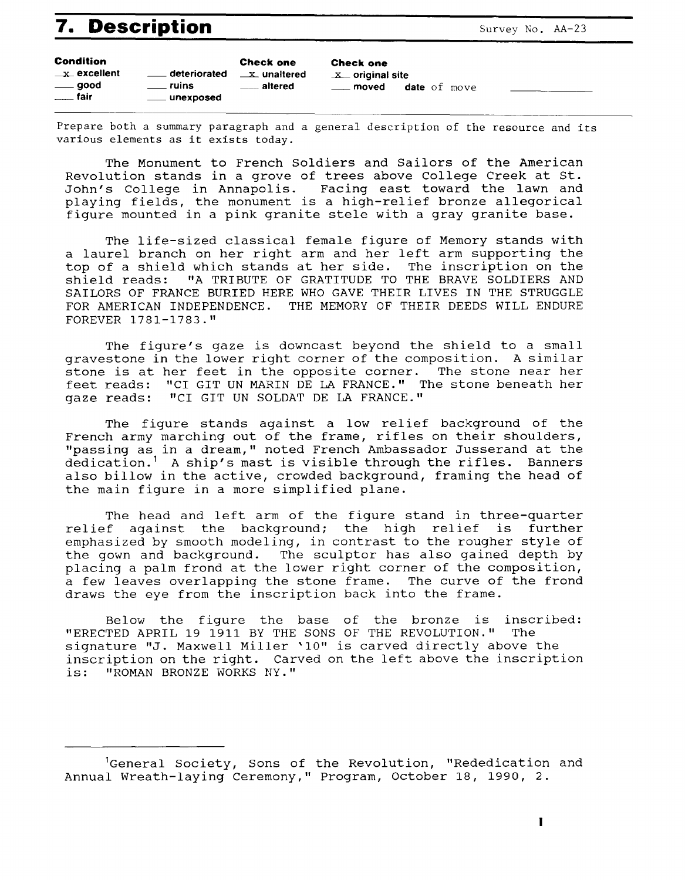### **7. Description**

Survey No. AA-23

| <b>Condition</b>       |               | <b>Check one</b>  | Chec         |
|------------------------|---------------|-------------------|--------------|
| $\mathbf{X}$ excellent | deteriorated  | $\perp$ unaltered | $\mathbf{x}$ |
| ____ good              | ruins         | altered           |              |
| <sub>——</sub> fair     | ___ unexposed |                   |              |

**Check one**  \_x\_ **original site**  date of move

Prepare both a summary paragraph and a general description of the resource and its various elements as it exists today.

The Monument to French Soldiers and Sailors of the American Revolution stands in a grove of trees above College Creek at St. John's College in Annapolis. Facing east toward the lawn and playing fields, the monument is a high-relief bronze allegorical figure mounted in a pink granite stele with a gray granite base.

The life-sized classical female figure of Memory stands with a laurel branch on her right arm and her left arm supporting the top of a shield which stands at her side. The inscription on the<br>shield reads: "A TRIBUTE OF GRATITUDE TO THE BRAVE SOLDIERS AND "A TRIBUTE OF GRATITUDE TO THE BRAVE SOLDIERS AND SAILORS OF FRANCE BURIED HERE WHO GAVE THEIR LIVES IN THE STRUGGLE FOR AMERICAN INDEPENDENCE. THE MEMORY OF THEIR DEEDS WILL ENDURE FOREVER 1781-1783."

The figure's gaze is downcast beyond the shield to a small gravestone in the lower right corner of the composition. A similar stone is at her feet in the opposite corner. The stone near her feet reads: "CI GIT UN MARIN DE LA FRANCE." The stone beneath her gaze reads: "CI GIT UN SOLDAT DE LA FRANCE."

The figure stands against a low relief background of the French army marching out of the frame, rifles on their shoulders, "passing as in a dream," noted French Ambassador Jusserand at the dedication.<sup>1</sup> A ship's mast is visible through the rifles. Banners also billow in the active, crowded background, framing the head of the main figure in a more simplified plane.

The head and left arm of the figure stand in three-quarter<br>relief against the background; the high relief is further against the background; the high relief is further emphasized by smooth modeling, in contrast to the rougher style of the gown and background. The sculptor has also gained depth by placing a palm frond at the lower right corner of the composition, a few leaves overlapping the stone frame. The curve of the frond draws the eye from the inscription back into the frame.

Below the figure the base of the bronze is inscribed: "ERECTED APRIL 19 1911 BY THE SONS OF THE REVOLUTION." The signature "J. Maxwell Miller '10" is carved directly above the inscription on the right. Carved on the left above the inscription<br>is: "ROMAN BRONZE WORKS NY." "ROMAN BRONZE WORKS NY."

<sup>&</sup>lt;sup>1</sup>General Society, Sons of the Revolution, "Rededication and Annual Wreath-laying Ceremony," Program, October 18, 1990, 2.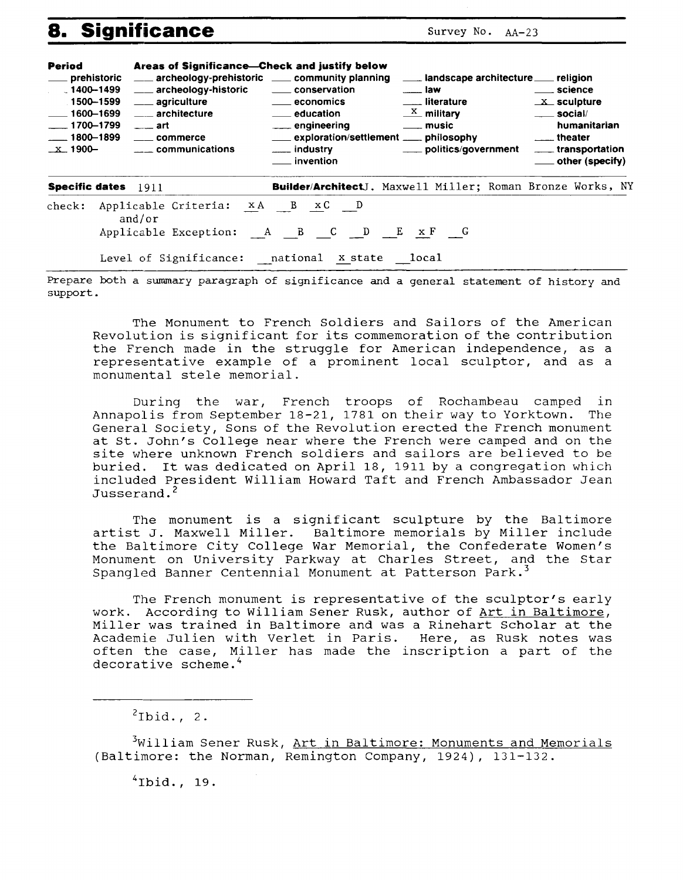### **Significance** Survey No. AA-23

| Period<br>___ prehistoric<br>$1400 - 1499$<br>$- 1600 - 1699$<br>$\frac{1}{2}$ 1700–1799<br>$-1800 - 1899$<br>$\_$ x $\_$ 1900 $-$ | 1500-1599 | $\frac{1}{2}$<br>$\overline{\phantom{a}}$ art | Areas of Significance—Check and justify below<br>archeology-prehistoric ______ community planning<br>archeology-historic_<br><sub>__</sub> ___ agriculture<br><u>__</u> __ architecture<br>_____ commerce<br>____ communications |  | <u>__</u> __ conservation<br><u>__</u> economics<br><u>__</u> education<br>___ engineering<br>exploration/settlement ____ philosophy<br><u>_</u> __ industry<br><u>__</u> invention |  | <u>saman law</u><br><u>_____</u> literature<br>$\frac{X}{X}$ military<br><u>_</u> __ music | politics/government | ____ landscape architecture ____ religion<br>____ science<br>$X$ sculpture<br><u>__</u> __theater | social/<br>humanitarian<br>____transportation<br>___ other (specify) |  |
|------------------------------------------------------------------------------------------------------------------------------------|-----------|-----------------------------------------------|----------------------------------------------------------------------------------------------------------------------------------------------------------------------------------------------------------------------------------|--|-------------------------------------------------------------------------------------------------------------------------------------------------------------------------------------|--|--------------------------------------------------------------------------------------------|---------------------|---------------------------------------------------------------------------------------------------|----------------------------------------------------------------------|--|
| Specific dates 1911                                                                                                                |           |                                               |                                                                                                                                                                                                                                  |  |                                                                                                                                                                                     |  |                                                                                            |                     | Builder/ArchitectJ. Maxwell Miller; Roman Bronze Works, NY                                        |                                                                      |  |
| check:                                                                                                                             |           | and/or                                        | Applicable Criteria: XA B XC D<br>Applicable Exception: $A$ B C $D$ $E$ $x F$ $G$                                                                                                                                                |  |                                                                                                                                                                                     |  |                                                                                            |                     |                                                                                                   |                                                                      |  |
|                                                                                                                                    |           |                                               | Level of Significance: national x state                                                                                                                                                                                          |  |                                                                                                                                                                                     |  | local                                                                                      |                     |                                                                                                   |                                                                      |  |

Prepare both a summary paragraph of significance and a general statement of history and support.

The Monument to French Soldiers and Sailors of the American Revolution is significant for its commemoration of the contribution the French made in the struggle for American independence, as a representative example of a prominent local sculptor, and as a monumental stele memorial.

During the war, French troops of Rochambeau camped in Annapolis from September 18-21, 1781 on their way to Yorktown. The General Society, Sons of the Revolution erected the French monument at St. John's College near where the French were camped and on the site where unknown French soldiers and sailors are believed to be buried. It was dedicated on April 18, 1911 by a congregation which included President William Howard Taft and French Ambassador Jean Jusserand.<sup>2</sup>

The monument is a significant sculpture by the Baltimore artist J. Maxwell Miller. Baltimore memorials by Miller include the Baltimore City College War Memorial, the Confederate Women's Monument on University Parkway at Charles Street, and the Star Spangled Banner Centennial Monument at Patterson Park.<sup>3</sup>

The French monument is representative of the sculptor's early work. According to William Sener Rusk, author of Art in Baltimore, Miller was trained in Baltimore and was a Rinehart Scholar at the Academie Julien with Verlet in Paris. Here, as Rusk notes was often the case, Miller has made the inscription a part of the decorative scheme.<sup>4</sup>

 $\textsuperscript{2}$ Ibid., 2.

<sup>3</sup>William Sener Rusk, Art in Baltimore: Monuments and Memorials (Baltimore: the Norman, Remington Company, 1924), 131-132.

 $4$ Ibid., 19.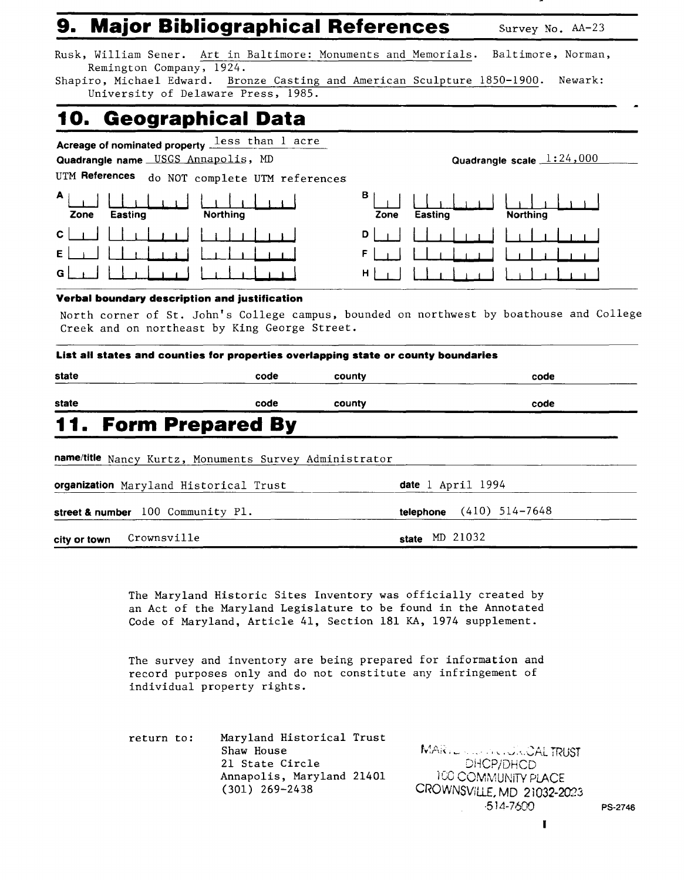## **Major Bibliographical References** Survey No. AA-23

Rusk, William Sener. Art in Baltimore: Monuments and Memorials. Baltimore, Norman, Remington Company, 1924.

Shapiro, Michael Edward. Bronze Casting and American Sculpture 1850-1900. Newark: University of Delaware Press, 1985.

#### **1 O. Geographical Data**

**Acreage of nominated property** less than 1 acre

**Quadrangle name** USGS Annapolis, MD **Quadrangle scale**  $1:24,000$ 

| Zone | Easting | "Lillulad Lilabad<br><b>Northing</b>     | Zone                        | "LILLI<br>Easting | <b>Northing</b> |
|------|---------|------------------------------------------|-----------------------------|-------------------|-----------------|
|      |         | فلتنا للتطيبنا لتنابلننا                 |                             |                   |                 |
|      |         | E Liud Libertania di Libertania ang      |                             | FLIJ LLILII LILI  |                 |
|      |         | $GL$ and $GL$ and $GL$ and $GL$ and $GL$ | $H$ $\vert$ $\vert$ $\vert$ |                   |                 |

| UTM <b>References</b><br>do NOT complete UTM references        |                                                      |  |
|----------------------------------------------------------------|------------------------------------------------------|--|
| $\mathsf{A}_{\ \cdot\ }$<br>Zone<br>Easting<br><b>Northing</b> | в <sub> </sub><br>Easting<br><b>Northing</b><br>Zone |  |
| $c \mid -1$                                                    | $D \mid \cdot$<br>$\mathbf{1}$ $\mathbf{1}$          |  |
| $E \left  \begin{array}{cc} 1 & 1 \end{array} \right $         | F                                                    |  |
| $G \begin{bmatrix} 1 & 1 \end{bmatrix}$                        | H                                                    |  |

#### **Verbal boundary description and justification**

North corner of St. John's College campus, bounded on northwest by boathouse and College Creek and on northeast by King George Street.

| state                                                  | code | county | code                          |
|--------------------------------------------------------|------|--------|-------------------------------|
| state                                                  | code | county | code                          |
| 11. Form Prepared By                                   |      |        |                               |
|                                                        |      |        |                               |
| name/title Nancy Kurtz, Monuments Survey Administrator |      |        |                               |
| organization Maryland Historical Trust                 |      |        | date $1$ April $1994$         |
| street & number 100 Community Pl.                      |      |        | $(410)$ 514-7648<br>telephone |

The Maryland Historic Sites Inventory was officially created by an Act of the Maryland Legislature to be found in the Annotated Code of Maryland, Article 41, Section 181 KA, 1974 supplement.

The survey and inventory are being prepared for information and record purposes only and do not constitute any infringement of individual property rights.

return to: Maryland Historical Trust Shaw House 21 State Circle Annapolis, Maryland 21401 (301) 269-2438 **tv:f\:(** • ~ . -1 \. • *'J.* ~ **.. CAL TRUST**  DHCP/DHCD 100 COMMUNiTY PLACE CROWNSViLLE, MD 21032-2023 -514-7600 PS-2746

ſ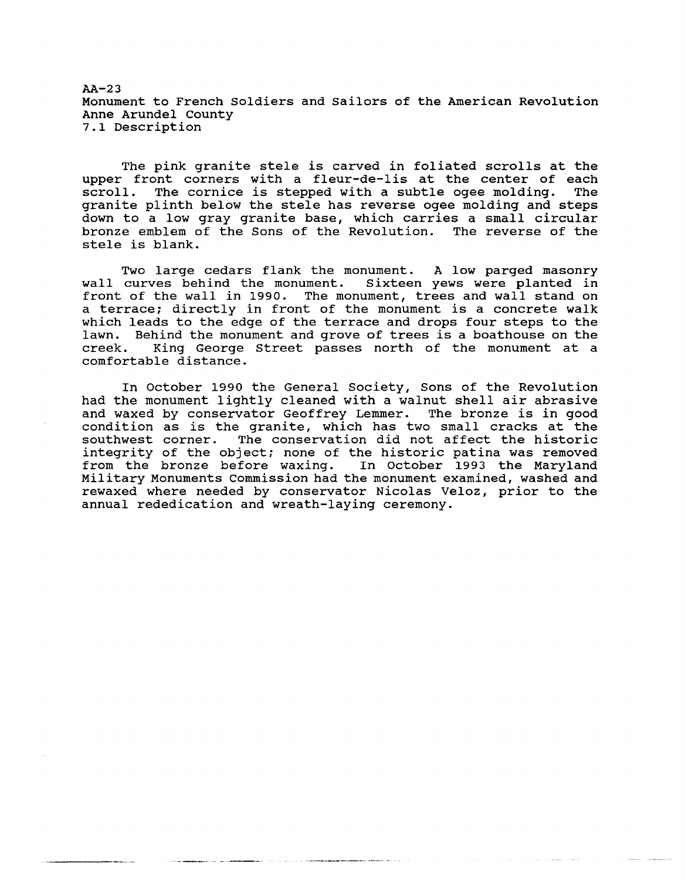$AA-23$ Monument to French Soldiers and Sailors of the American Revolution Anne Arundel county 7.1 Description

The pink granite stele is carved in foliated scrolls at the upper front corners with a fleur-de-lis at the center of each<br>scroll. The cornice is stepped with a subtle ogee molding. The The cornice is stepped with a subtle ogee molding. granite plinth below the stele has reverse ogee molding and steps down to a low gray granite base, which carries a small circular bronze emblem of the Sons of the Revolution. stele is blank.

Two large cedars flank the monument. A low parged masonry curves behind the monument. Sixteen yews were planted in wall curves behind the monument.<br>front of the wall in 1990. The mo The monument, trees and wall stand on a terrace; directly in front of the monument is a concrete walk which leads to the edge of the terrace and drops four steps to the lawn. Behind the monument and grove of trees is a boathouse on the<br>creek. King George Street passes north of the monument at a King George Street passes north of the monument at a comfortable distance.

In October 1990 the General Society, Sons of the Revolution had the monument lightly cleaned with a walnut shell air abrasive and waxed by conservator Geoffrey Lemmer. The bronze is in good condition as is the granite, which has two small cracks at the southwest corner. The conservation did not affect the historic The conservation did not affect the historic integrity of the object; none of the historic patina was removed<br>from the bronze before waxing. In October 1993 the Maryland from the bronze before waxing. Military Monuments Commission had the monument examined, washed and rewaxed where needed by conservator Nicolas Veloz, prior to the annual rededication and wreath-laying ceremony.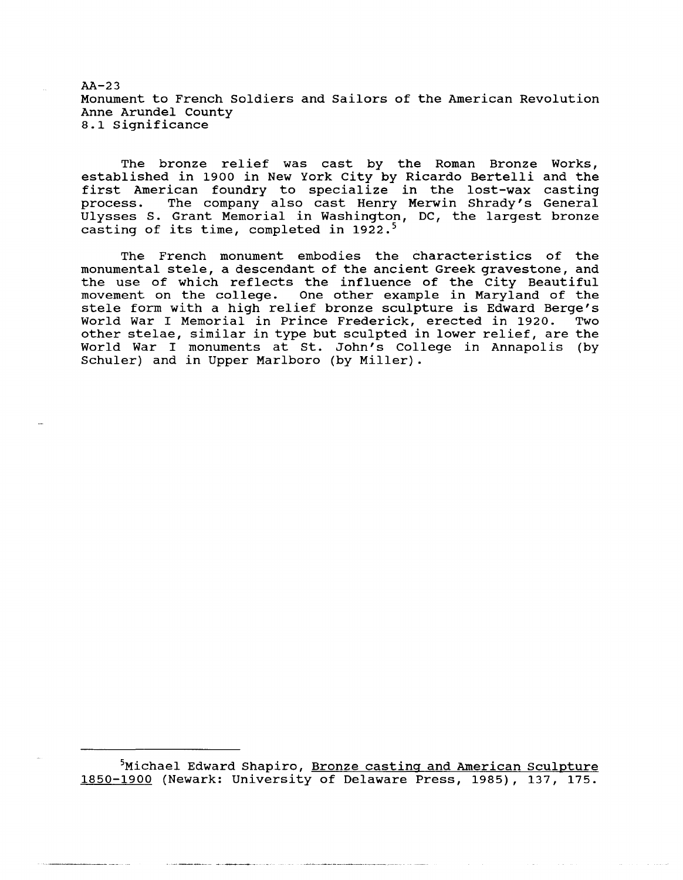$AA-23$ Monument to French Soldiers and Sailors of the American Revolution Anne Arundel County 8.1 Significance

The bronze relief was cast by the Roman Bronze Works, established in 1900 in New York City by Ricardo Bertelli and the first American foundry to specialize in the lost-wax casting<br>process. The company also cast Henry Merwin Shrady's General The company also cast Henry Merwin Shrady's General Ulysses s. Grant Memorial in Washington, DC, the largest bronze casting of its time, completed in 1922.<sup>5</sup>

The French monument embodies the characteristics of the monumental stele, a descendant of the ancient Greek gravestone, and the use of which reflects the influence of the City Beautiful movement on the college. One other example in Maryland of the stele form with a high relief bronze sculpture is Edward Berge's World War I Memorial in Prince Frederick, erected in 1920. other stelae, similar in type but sculpted in lower relief, are the World War I monuments at St. John's College in Annapolis (by Schuler) and in Upper Marlboro (by Miller) .

<sup>5</sup>Michael Edward Shapiro, <u>Bronze casting and American Sculpture</u> 1850-1900 (Newark: University of Delaware Press, 1985), 137, 175.

.<br>Maria e como que foi como como como como construírta e a calificial da antecimidad a milho de calificación de

**The Contract Commission of the contract of the contract**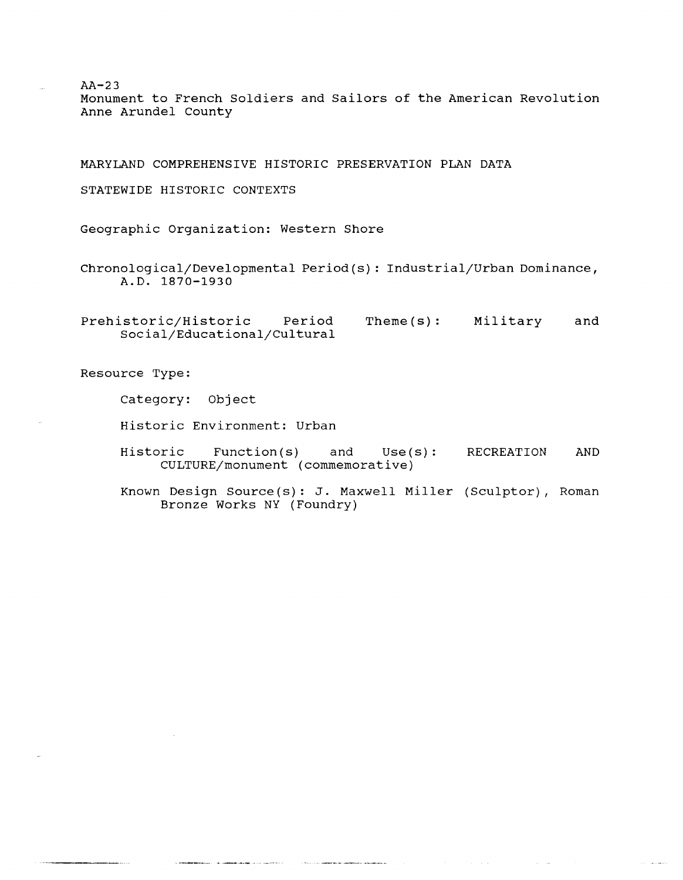$AA-23$ 

Monument to French Soldiers and Sailors of the American Revolution Anne Arundel County

MARYLAND COMPREHENSIVE HISTORIC PRESERVATION PLAN DATA

STATEWIDE HISTORIC CONTEXTS

Geographic Organization: Western Shore

Chronological/Developmental Period(s): Industrial/Urban Dominance, A.D. 1870-1930

Prehistoric/Historic Period Theme(s): Military and Social/Educational/Cultural

Resource Type:

Category: Object

Historic Environment: Urban

- Historic Function(s) and Use(s): RECREATION AND CULTURE/monument (commemorative)
- Known Design Source(s): J. Maxwell Miller (Sculptor), Roman Bronze Works NY (Foundry)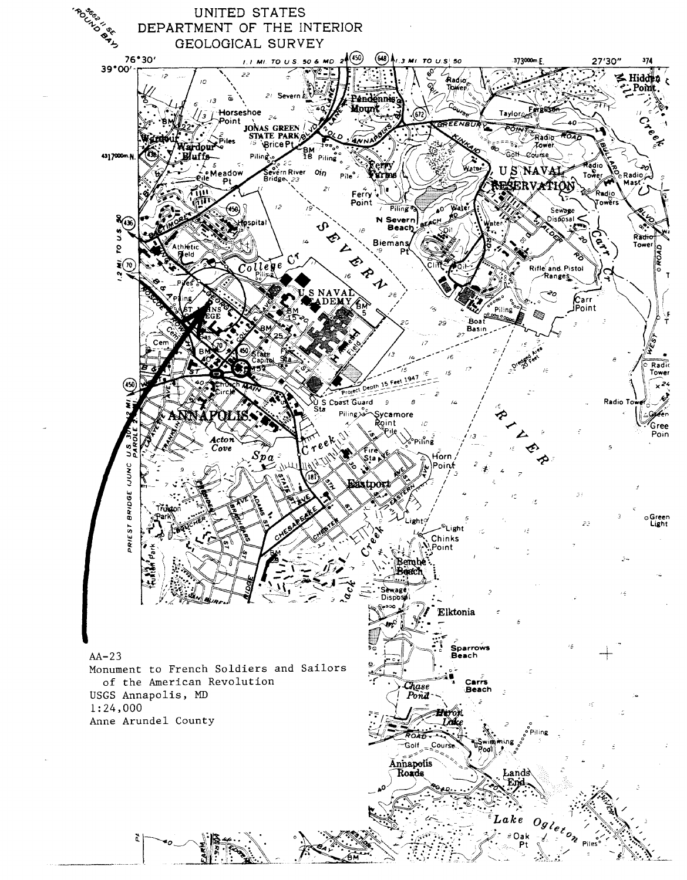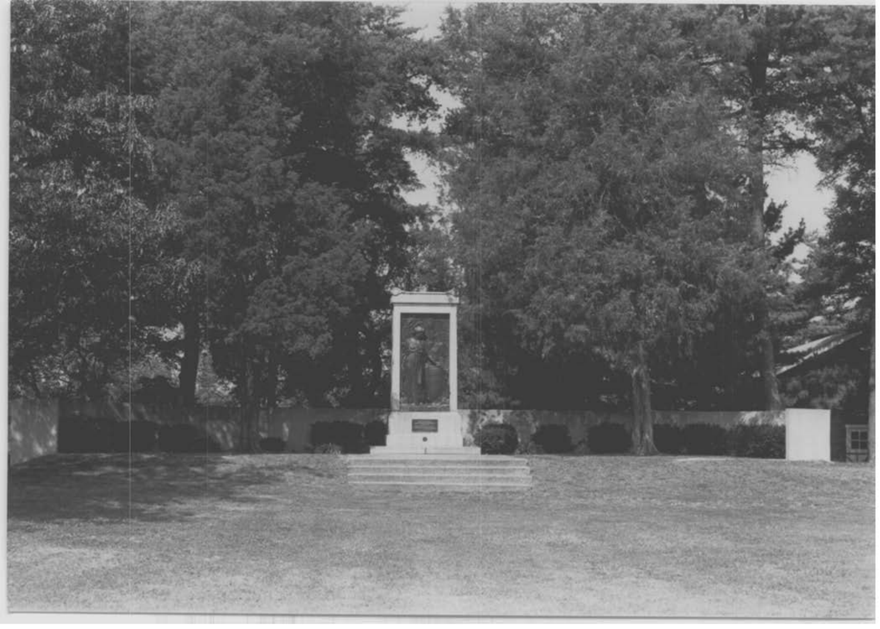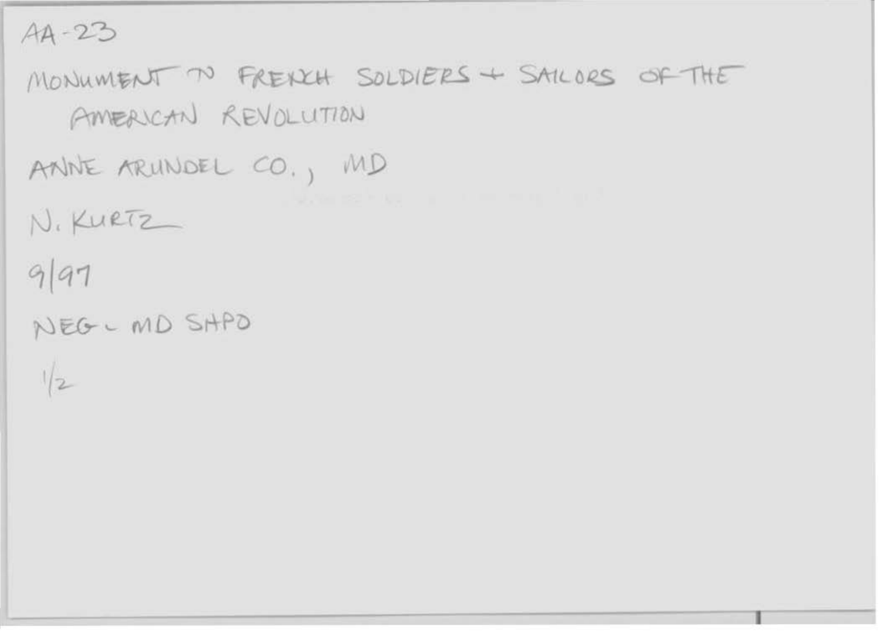```
AA - 23
```

```
MONUMENT TO FREAKH SOLDIERS + SAILORS OF THE
  AMERICAN REVOLUTION
ANNE ARUNDEL CO., MD
N. KURTZ
9|97NEG- MD SHPD
1/2
```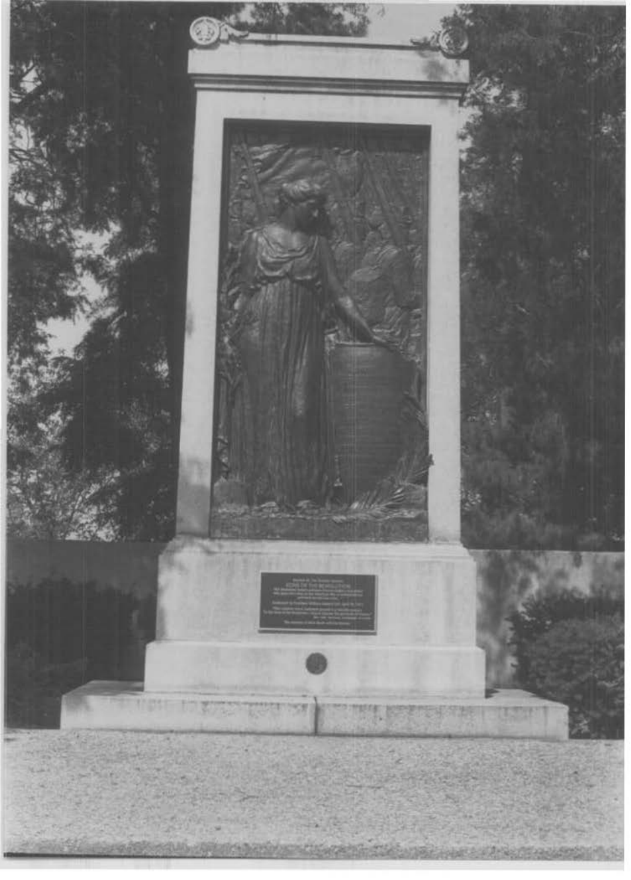